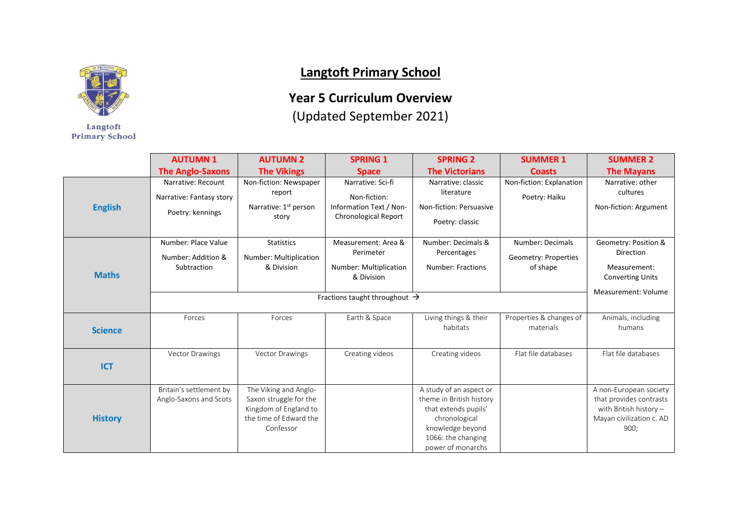

Langtoft **Primary School** 

## **Langtoft Primary School**

## **Year 5 Curriculum Overview**

(Updated September 2021)

|                | <b>AUTUMN1</b>           | <b>AUTUMN 2</b>                                 | <b>SPRING 1</b>             | <b>SPRING 2</b>                                  | <b>SUMMER 1</b>                      | <b>SUMMER 2</b>                                   |
|----------------|--------------------------|-------------------------------------------------|-----------------------------|--------------------------------------------------|--------------------------------------|---------------------------------------------------|
|                | <b>The Anglo-Saxons</b>  | <b>The Vikings</b>                              | <b>Space</b>                | <b>The Victorians</b>                            | <b>Coasts</b>                        | <b>The Mayans</b>                                 |
| <b>English</b> | Narrative: Recount       | Non-fiction: Newspaper                          | Narrative: Sci-fi           | Narrative: classic                               | Non-fiction: Explanation             | Narrative: other                                  |
|                | Narrative: Fantasy story | report                                          | Non-fiction:                | literature                                       | Poetry: Haiku                        | cultures                                          |
|                | Poetry: kennings         | Narrative: 1 <sup>st</sup> person               | Information Text / Non-     | Non-fiction: Persuasive                          |                                      | Non-fiction: Argument                             |
|                |                          | story                                           | <b>Chronological Report</b> | Poetry: classic                                  |                                      |                                                   |
| <b>Maths</b>   | Number: Place Value      | <b>Statistics</b>                               | Measurement: Area &         | Number: Decimals &                               | Number: Decimals                     | Geometry: Position &                              |
|                | Number: Addition &       | Number: Multiplication                          | Perimeter                   | Percentages                                      | Geometry: Properties                 | Direction                                         |
|                | Subtraction              | & Division                                      | Number: Multiplication      | Number: Fractions                                | of shape                             | Measurement:                                      |
|                |                          |                                                 | & Division                  |                                                  |                                      | <b>Converting Units</b>                           |
|                |                          |                                                 | Measurement: Volume         |                                                  |                                      |                                                   |
|                |                          |                                                 |                             |                                                  |                                      |                                                   |
|                | Forces                   | Forces                                          | Earth & Space               | Living things & their<br>habitats                | Properties & changes of<br>materials | Animals, including<br>humans                      |
| <b>Science</b> |                          |                                                 |                             |                                                  |                                      |                                                   |
|                | Vector Drawings          | <b>Vector Drawings</b>                          | Creating videos             | Creating videos                                  | Flat file databases                  | Flat file databases                               |
| <b>ICT</b>     |                          |                                                 |                             |                                                  |                                      |                                                   |
|                |                          |                                                 |                             |                                                  |                                      |                                                   |
| <b>History</b> | Britain's settlement by  | The Viking and Anglo-                           |                             | A study of an aspect or                          |                                      | A non-European society                            |
|                | Anglo-Saxons and Scots   | Saxon struggle for the<br>Kingdom of England to |                             | theme in British history<br>that extends pupils' |                                      | that provides contrasts<br>with British history - |
|                |                          | the time of Edward the                          |                             | chronological                                    |                                      | Mayan civilization c. AD                          |
|                |                          | Confessor                                       |                             | knowledge beyond                                 |                                      | 900;                                              |
|                |                          |                                                 |                             | 1066: the changing                               |                                      |                                                   |
|                |                          |                                                 |                             | power of monarchs                                |                                      |                                                   |